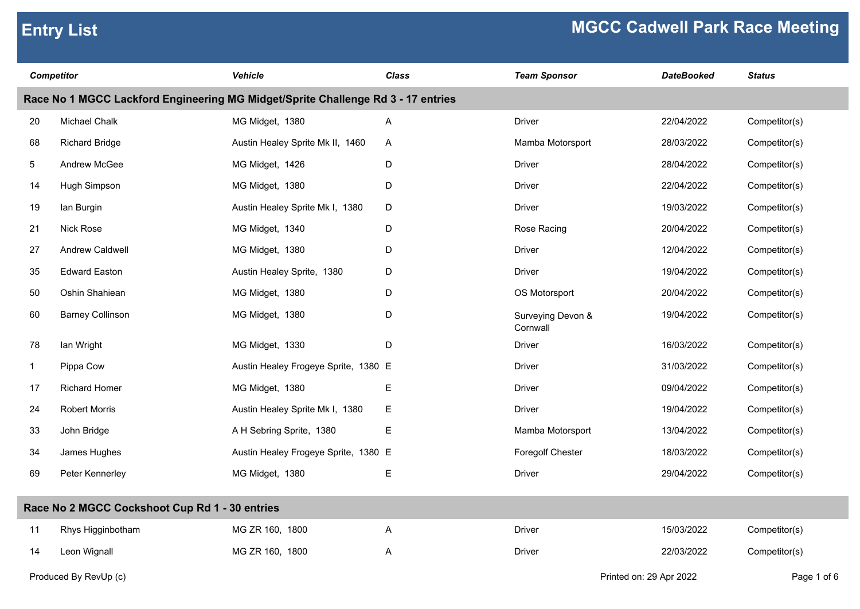| <b>Competitor</b>                                                                |                                                | <b>Vehicle</b>                       | <b>Class</b>              | <b>Team Sponsor</b>           | <b>DateBooked</b> | <b>Status</b> |  |  |
|----------------------------------------------------------------------------------|------------------------------------------------|--------------------------------------|---------------------------|-------------------------------|-------------------|---------------|--|--|
| Race No 1 MGCC Lackford Engineering MG Midget/Sprite Challenge Rd 3 - 17 entries |                                                |                                      |                           |                               |                   |               |  |  |
| 20                                                                               | Michael Chalk                                  | MG Midget, 1380                      | A                         | <b>Driver</b>                 | 22/04/2022        | Competitor(s) |  |  |
| 68                                                                               | <b>Richard Bridge</b>                          | Austin Healey Sprite Mk II, 1460     | A                         | Mamba Motorsport              | 28/03/2022        | Competitor(s) |  |  |
| 5                                                                                | Andrew McGee                                   | MG Midget, 1426                      | D                         | <b>Driver</b>                 | 28/04/2022        | Competitor(s) |  |  |
| 14                                                                               | Hugh Simpson                                   | MG Midget, 1380                      | D                         | Driver                        | 22/04/2022        | Competitor(s) |  |  |
| 19                                                                               | lan Burgin                                     | Austin Healey Sprite Mk I, 1380      | D                         | <b>Driver</b>                 | 19/03/2022        | Competitor(s) |  |  |
| 21                                                                               | <b>Nick Rose</b>                               | MG Midget, 1340                      | D                         | Rose Racing                   | 20/04/2022        | Competitor(s) |  |  |
| 27                                                                               | Andrew Caldwell                                | MG Midget, 1380                      | D                         | Driver                        | 12/04/2022        | Competitor(s) |  |  |
| 35                                                                               | <b>Edward Easton</b>                           | Austin Healey Sprite, 1380           | D                         | Driver                        | 19/04/2022        | Competitor(s) |  |  |
| 50                                                                               | Oshin Shahiean                                 | MG Midget, 1380                      | D                         | OS Motorsport                 | 20/04/2022        | Competitor(s) |  |  |
| 60                                                                               | <b>Barney Collinson</b>                        | MG Midget, 1380                      | D                         | Surveying Devon &<br>Cornwall | 19/04/2022        | Competitor(s) |  |  |
| 78                                                                               | lan Wright                                     | MG Midget, 1330                      | D                         | <b>Driver</b>                 | 16/03/2022        | Competitor(s) |  |  |
| $\mathbf{1}$                                                                     | Pippa Cow                                      | Austin Healey Frogeye Sprite, 1380 E |                           | Driver                        | 31/03/2022        | Competitor(s) |  |  |
| 17                                                                               | <b>Richard Homer</b>                           | MG Midget, 1380                      | Е                         | Driver                        | 09/04/2022        | Competitor(s) |  |  |
| 24                                                                               | <b>Robert Morris</b>                           | Austin Healey Sprite Mk I, 1380      | Е                         | Driver                        | 19/04/2022        | Competitor(s) |  |  |
| 33                                                                               | John Bridge                                    | A H Sebring Sprite, 1380             | $\mathsf E$               | Mamba Motorsport              | 13/04/2022        | Competitor(s) |  |  |
| 34                                                                               | James Hughes                                   | Austin Healey Frogeye Sprite, 1380 E |                           | Foregolf Chester              | 18/03/2022        | Competitor(s) |  |  |
| 69                                                                               | Peter Kennerley                                | MG Midget, 1380                      | E                         | <b>Driver</b>                 | 29/04/2022        | Competitor(s) |  |  |
|                                                                                  | Race No 2 MGCC Cockshoot Cup Rd 1 - 30 entries |                                      |                           |                               |                   |               |  |  |
| 11                                                                               | Rhys Higginbotham                              | MG ZR 160, 1800                      | $\boldsymbol{\mathsf{A}}$ | Driver                        | 15/03/2022        | Competitor(s) |  |  |
| 14                                                                               | Leon Wignall                                   | MG ZR 160, 1800                      | Α                         | Driver                        | 22/03/2022        | Competitor(s) |  |  |

Produced By RevUp (c) Page 1 of 6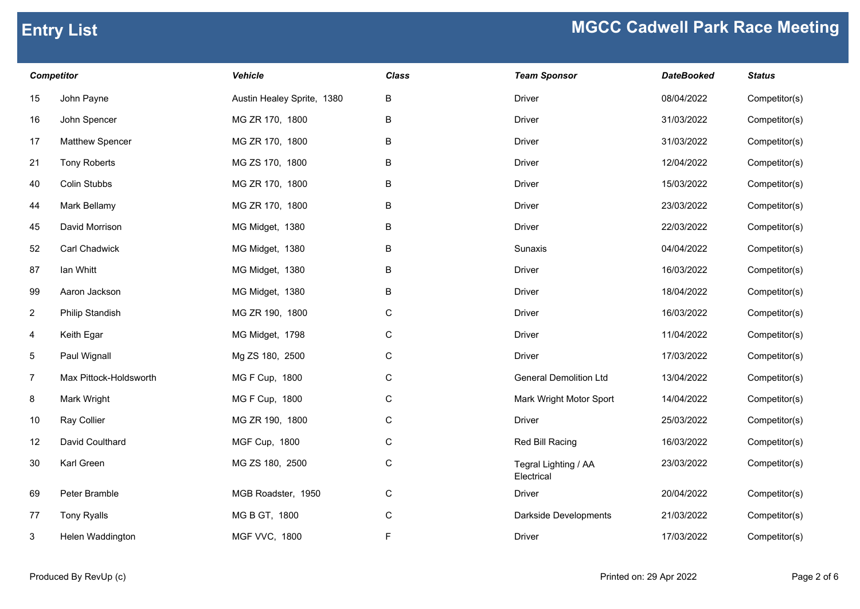| <b>Competitor</b> |                        | <b>Vehicle</b>             | <b>Class</b> | <b>Team Sponsor</b>                | <b>DateBooked</b> | <b>Status</b> |
|-------------------|------------------------|----------------------------|--------------|------------------------------------|-------------------|---------------|
| 15                | John Payne             | Austin Healey Sprite, 1380 | B            | <b>Driver</b>                      | 08/04/2022        | Competitor(s) |
| 16                | John Spencer           | MG ZR 170, 1800            | B            | <b>Driver</b>                      | 31/03/2022        | Competitor(s) |
| 17                | Matthew Spencer        | MG ZR 170, 1800            | B            | <b>Driver</b>                      | 31/03/2022        | Competitor(s) |
| 21                | <b>Tony Roberts</b>    | MG ZS 170, 1800            | B            | <b>Driver</b>                      | 12/04/2022        | Competitor(s) |
| 40                | Colin Stubbs           | MG ZR 170, 1800            | B            | <b>Driver</b>                      | 15/03/2022        | Competitor(s) |
| 44                | Mark Bellamy           | MG ZR 170, 1800            | B            | <b>Driver</b>                      | 23/03/2022        | Competitor(s) |
| 45                | David Morrison         | MG Midget, 1380            | B            | <b>Driver</b>                      | 22/03/2022        | Competitor(s) |
| 52                | Carl Chadwick          | MG Midget, 1380            | B            | Sunaxis                            | 04/04/2022        | Competitor(s) |
| 87                | lan Whitt              | MG Midget, 1380            | B            | <b>Driver</b>                      | 16/03/2022        | Competitor(s) |
| 99                | Aaron Jackson          | MG Midget, 1380            | B            | <b>Driver</b>                      | 18/04/2022        | Competitor(s) |
| $\overline{2}$    | <b>Philip Standish</b> | MG ZR 190, 1800            | ${\bf C}$    | <b>Driver</b>                      | 16/03/2022        | Competitor(s) |
| $\overline{4}$    | Keith Egar             | MG Midget, 1798            | ${\bf C}$    | <b>Driver</b>                      | 11/04/2022        | Competitor(s) |
| 5                 | Paul Wignall           | Mg ZS 180, 2500            | ${\bf C}$    | <b>Driver</b>                      | 17/03/2022        | Competitor(s) |
| 7                 | Max Pittock-Holdsworth | MG F Cup, 1800             | $\mathbf C$  | <b>General Demolition Ltd</b>      | 13/04/2022        | Competitor(s) |
| 8                 | Mark Wright            | MG F Cup, 1800             | ${\bf C}$    | Mark Wright Motor Sport            | 14/04/2022        | Competitor(s) |
| 10                | Ray Collier            | MG ZR 190, 1800            | ${\bf C}$    | <b>Driver</b>                      | 25/03/2022        | Competitor(s) |
| 12                | David Coulthard        | MGF Cup, 1800              | ${\bf C}$    | Red Bill Racing                    | 16/03/2022        | Competitor(s) |
| 30                | Karl Green             | MG ZS 180, 2500            | ${\bf C}$    | Tegral Lighting / AA<br>Electrical | 23/03/2022        | Competitor(s) |
| 69                | Peter Bramble          | MGB Roadster, 1950         | ${\bf C}$    | <b>Driver</b>                      | 20/04/2022        | Competitor(s) |
| 77                | <b>Tony Ryalls</b>     | MG B GT, 1800              | ${\bf C}$    | Darkside Developments              | 21/03/2022        | Competitor(s) |
| 3                 | Helen Waddington       | <b>MGF VVC, 1800</b>       | F.           | <b>Driver</b>                      | 17/03/2022        | Competitor(s) |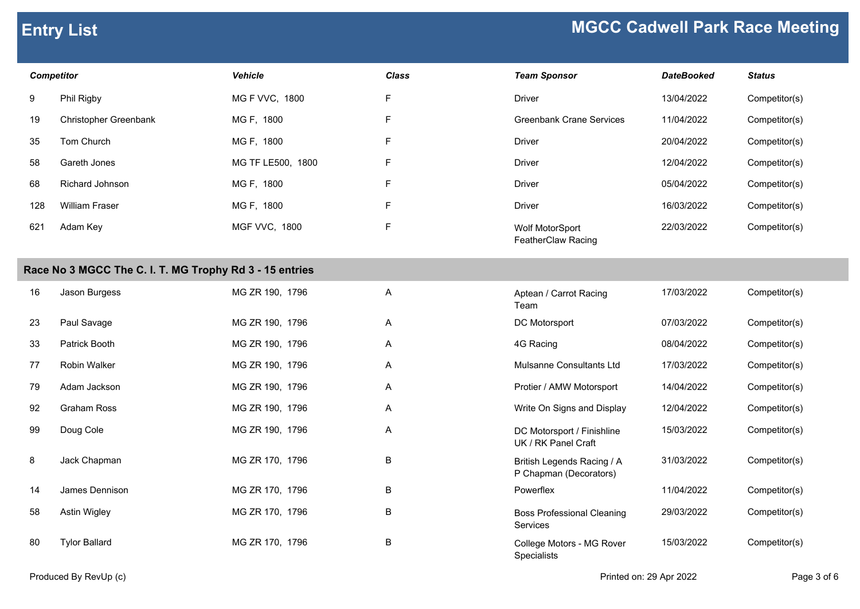### *Competitor Vehicle Class Team Sponsor DateBooked Status* 9 Phil Rigby MG F VVC, 1800 F Driver 13/04/2022 Competitor(s) 19 Christopher Greenbank MG F, 1800 F Greenbank F 35 Tom Church MG F, 1800 F Driver 20/04/2022 Competitor(s) 58 Gareth Jones MG TF LE500, 1800 F 68 Richard Johnson MG F, 1800 F Driver 05/04/2022 Competitor(s) 128 William Fraser MG F, 1800 F Driver 16/03/2022 Competitor(s) Adam Key **MGF VVC, 1800** F Research 2006 MGF WOLF MotorSport 621 Adam Key MGF VVC, 1800 Wolf MotorSport 22/03/2022 Competitor(s)

### **Race No 3 MGCC The C. I. T. MG Trophy Rd 3 - 15 entries**

| 16 | Jason Burgess        | MG ZR 190, 1796 | A | Aptean / Carrot Racing<br>Team                       | 17/03/2022 | Competitor(s) |
|----|----------------------|-----------------|---|------------------------------------------------------|------------|---------------|
| 23 | Paul Savage          | MG ZR 190, 1796 | A | DC Motorsport                                        | 07/03/2022 | Competitor(s) |
| 33 | Patrick Booth        | MG ZR 190, 1796 | A | 4G Racing                                            | 08/04/2022 | Competitor(s) |
| 77 | <b>Robin Walker</b>  | MG ZR 190, 1796 | A | Mulsanne Consultants Ltd                             | 17/03/2022 | Competitor(s) |
| 79 | Adam Jackson         | MG ZR 190, 1796 | A | Protier / AMW Motorsport                             | 14/04/2022 | Competitor(s) |
| 92 | Graham Ross          | MG ZR 190, 1796 | A | Write On Signs and Display                           | 12/04/2022 | Competitor(s) |
| 99 | Doug Cole            | MG ZR 190, 1796 | Α | DC Motorsport / Finishline<br>UK / RK Panel Craft    | 15/03/2022 | Competitor(s) |
| 8  | Jack Chapman         | MG ZR 170, 1796 | B | British Legends Racing / A<br>P Chapman (Decorators) | 31/03/2022 | Competitor(s) |
| 14 | James Dennison       | MG ZR 170, 1796 | B | Powerflex                                            | 11/04/2022 | Competitor(s) |
| 58 | Astin Wigley         | MG ZR 170, 1796 | B | <b>Boss Professional Cleaning</b><br><b>Services</b> | 29/03/2022 | Competitor(s) |
| 80 | <b>Tylor Ballard</b> | MG ZR 170, 1796 | B | College Motors - MG Rover                            | 15/03/2022 | Competitor(s) |

| <b>Team Sponsor</b>      | <b>DateBooked</b> | <b>Status</b> |
|--------------------------|-------------------|---------------|
| Driver                   | 13/04/2022        | Competitor(s) |
| Greenbank Crane Services | 11/04/2022        | Competitor(s) |
| Driver                   | 20/04/2022        | Competitor(s) |
| Driver                   | 12/04/2022        | Competitor(s) |
| Driver                   | 05/04/2022        | Competitor(s) |
| Driver                   | 16/03/2022        | Competitor(s) |
|                          |                   |               |

FeatherClaw Racing

| Aptean / Carrot Racing<br>Team                       | 17/03/2022 | Competitor(s) |
|------------------------------------------------------|------------|---------------|
| DC Motorsport                                        | 07/03/2022 | Competitor(s) |
| 4G Racing                                            | 08/04/2022 | Competitor(s) |
| Mulsanne Consultants I td                            | 17/03/2022 | Competitor(s) |
| Protier / AMW Motorsport                             | 14/04/2022 | Competitor(s) |
| Write On Signs and Display                           | 12/04/2022 | Competitor(s) |
| DC Motorsport / Finishline<br>UK / RK Panel Craft    | 15/03/2022 | Competitor(s) |
| British Legends Racing / A<br>P Chapman (Decorators) | 31/03/2022 | Competitor(s) |
| Powerflex                                            | 11/04/2022 | Competitor(s) |
| <b>Boss Professional Cleaning</b><br>Services        | 29/03/2022 | Competitor(s) |
| College Motors - MG Rover<br>Specialists             | 15/03/2022 | Competitor(s) |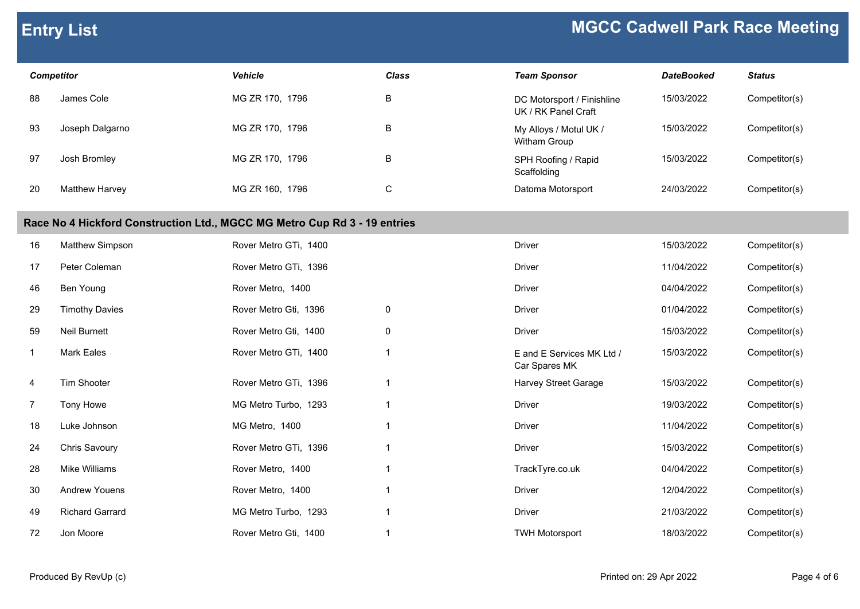| <b>Competitor</b>                                                         |                        | <b>Vehicle</b>        | Class          | <b>Team Sponsor</b>                               | <b>DateBooked</b> | <b>Status</b> |  |
|---------------------------------------------------------------------------|------------------------|-----------------------|----------------|---------------------------------------------------|-------------------|---------------|--|
| 88                                                                        | James Cole             | MG ZR 170, 1796       | $\sf B$        | DC Motorsport / Finishline<br>UK / RK Panel Craft | 15/03/2022        | Competitor(s) |  |
| 93                                                                        | Joseph Dalgarno        | MG ZR 170, 1796       | B              | My Alloys / Motul UK /<br>Witham Group            | 15/03/2022        | Competitor(s) |  |
| 97                                                                        | Josh Bromley           | MG ZR 170, 1796       | B              | SPH Roofing / Rapid<br>Scaffolding                | 15/03/2022        | Competitor(s) |  |
| 20                                                                        | Matthew Harvey         | MG ZR 160, 1796       | $\mathsf C$    | Datoma Motorsport                                 | 24/03/2022        | Competitor(s) |  |
| Race No 4 Hickford Construction Ltd., MGCC MG Metro Cup Rd 3 - 19 entries |                        |                       |                |                                                   |                   |               |  |
| 16                                                                        | Matthew Simpson        | Rover Metro GTi, 1400 |                | <b>Driver</b>                                     | 15/03/2022        | Competitor(s) |  |
| 17                                                                        | Peter Coleman          | Rover Metro GTi, 1396 |                | <b>Driver</b>                                     | 11/04/2022        | Competitor(s) |  |
| 46                                                                        | Ben Young              | Rover Metro, 1400     |                | <b>Driver</b>                                     | 04/04/2022        | Competitor(s) |  |
| 29                                                                        | <b>Timothy Davies</b>  | Rover Metro Gti, 1396 | $\mathbf 0$    | <b>Driver</b>                                     | 01/04/2022        | Competitor(s) |  |
| 59                                                                        | Neil Burnett           | Rover Metro Gti, 1400 | $\mathbf 0$    | <b>Driver</b>                                     | 15/03/2022        | Competitor(s) |  |
| $\overline{1}$                                                            | <b>Mark Eales</b>      | Rover Metro GTi, 1400 | $\mathbf{1}$   | E and E Services MK Ltd /<br>Car Spares MK        | 15/03/2022        | Competitor(s) |  |
| 4                                                                         | Tim Shooter            | Rover Metro GTi, 1396 | -1             | <b>Harvey Street Garage</b>                       | 15/03/2022        | Competitor(s) |  |
| $\overline{7}$                                                            | Tony Howe              | MG Metro Turbo, 1293  | $\mathbf{1}$   | <b>Driver</b>                                     | 19/03/2022        | Competitor(s) |  |
| 18                                                                        | Luke Johnson           | MG Metro, 1400        | $\overline{1}$ | <b>Driver</b>                                     | 11/04/2022        | Competitor(s) |  |
| 24                                                                        | Chris Savoury          | Rover Metro GTi, 1396 | $\mathbf{1}$   | <b>Driver</b>                                     | 15/03/2022        | Competitor(s) |  |
| 28                                                                        | Mike Williams          | Rover Metro, 1400     | $\mathbf{1}$   | TrackTyre.co.uk                                   | 04/04/2022        | Competitor(s) |  |
| 30                                                                        | <b>Andrew Youens</b>   | Rover Metro, 1400     | -1             | <b>Driver</b>                                     | 12/04/2022        | Competitor(s) |  |
| 49                                                                        | <b>Richard Garrard</b> | MG Metro Turbo, 1293  | $\mathbf{1}$   | <b>Driver</b>                                     | 21/03/2022        | Competitor(s) |  |
| 72                                                                        | Jon Moore              | Rover Metro Gti, 1400 | -1             | <b>TWH Motorsport</b>                             | 18/03/2022        | Competitor(s) |  |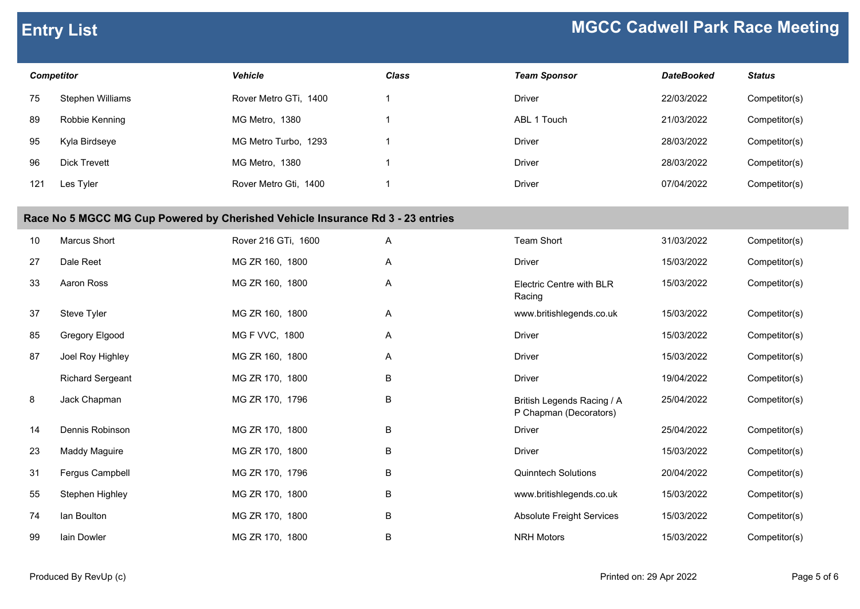| <b>Competitor</b>                                                              |                         | <b>Vehicle</b>        | <b>Class</b>   | <b>Team Sponsor</b>                                  | <b>DateBooked</b> | <b>Status</b> |
|--------------------------------------------------------------------------------|-------------------------|-----------------------|----------------|------------------------------------------------------|-------------------|---------------|
| 75                                                                             | Stephen Williams        | Rover Metro GTi, 1400 | 1              | <b>Driver</b>                                        | 22/03/2022        | Competitor(s) |
| 89                                                                             | Robbie Kenning          | MG Metro, 1380        | $\overline{1}$ | ABL 1 Touch                                          | 21/03/2022        | Competitor(s) |
| 95                                                                             | Kyla Birdseye           | MG Metro Turbo, 1293  | $\overline{1}$ | <b>Driver</b>                                        | 28/03/2022        | Competitor(s) |
| 96                                                                             | <b>Dick Trevett</b>     | MG Metro, 1380        | $\overline{1}$ | <b>Driver</b>                                        | 28/03/2022        | Competitor(s) |
| 121                                                                            | Les Tyler               | Rover Metro Gti, 1400 | $\overline{1}$ | <b>Driver</b>                                        | 07/04/2022        | Competitor(s) |
| Race No 5 MGCC MG Cup Powered by Cherished Vehicle Insurance Rd 3 - 23 entries |                         |                       |                |                                                      |                   |               |
| 10                                                                             | Marcus Short            | Rover 216 GTi, 1600   | A              | <b>Team Short</b>                                    | 31/03/2022        | Competitor(s) |
| 27                                                                             | Dale Reet               | MG ZR 160, 1800       | A              | <b>Driver</b>                                        | 15/03/2022        | Competitor(s) |
| 33                                                                             | Aaron Ross              | MG ZR 160, 1800       | Α              | Electric Centre with BLR<br>Racing                   | 15/03/2022        | Competitor(s) |
| 37                                                                             | Steve Tyler             | MG ZR 160, 1800       | Α              | www.britishlegends.co.uk                             | 15/03/2022        | Competitor(s) |
| 85                                                                             | Gregory Elgood          | MG F VVC, 1800        | Α              | <b>Driver</b>                                        | 15/03/2022        | Competitor(s) |
| 87                                                                             | Joel Roy Highley        | MG ZR 160, 1800       | A              | <b>Driver</b>                                        | 15/03/2022        | Competitor(s) |
|                                                                                | <b>Richard Sergeant</b> | MG ZR 170, 1800       | B              | <b>Driver</b>                                        | 19/04/2022        | Competitor(s) |
| 8                                                                              | Jack Chapman            | MG ZR 170, 1796       | B              | British Legends Racing / A<br>P Chapman (Decorators) | 25/04/2022        | Competitor(s) |
| 14                                                                             | Dennis Robinson         | MG ZR 170, 1800       | B              | <b>Driver</b>                                        | 25/04/2022        | Competitor(s) |
| 23                                                                             | Maddy Maguire           | MG ZR 170, 1800       | B              | <b>Driver</b>                                        | 15/03/2022        | Competitor(s) |
| 31                                                                             | Fergus Campbell         | MG ZR 170, 1796       | B              | <b>Quinntech Solutions</b>                           | 20/04/2022        | Competitor(s) |
| 55                                                                             | Stephen Highley         | MG ZR 170, 1800       | B              | www.britishlegends.co.uk                             | 15/03/2022        | Competitor(s) |
| 74                                                                             | lan Boulton             | MG ZR 170, 1800       | B              | <b>Absolute Freight Services</b>                     | 15/03/2022        | Competitor(s) |
| 99                                                                             | lain Dowler             | MG ZR 170, 1800       | B              | <b>NRH Motors</b>                                    | 15/03/2022        | Competitor(s) |